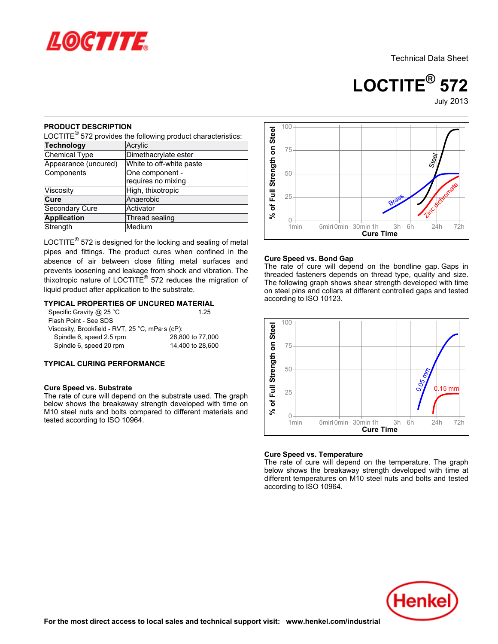

**LOCTITE® 572**July-2013

### **PRODUCT DESCRIPTION**

| NUDUUT DEJUNE HUN                                                                                                                                           | LOCTITE $^{\circledR}$ 572 provides the following product characteristics:                    | % of Full Strength on Stee       |
|-------------------------------------------------------------------------------------------------------------------------------------------------------------|-----------------------------------------------------------------------------------------------|----------------------------------|
| <b>Technology</b>                                                                                                                                           | Acrylic                                                                                       |                                  |
| <b>Chemical Type</b>                                                                                                                                        | Dimethacrylate ester                                                                          |                                  |
| Appearance (uncured)                                                                                                                                        | White to off-white paste                                                                      |                                  |
| Components                                                                                                                                                  | One component -                                                                               |                                  |
|                                                                                                                                                             | requires no mixing                                                                            |                                  |
| Viscosity                                                                                                                                                   | High, thixotropic                                                                             |                                  |
| Cure                                                                                                                                                        | Anaerobic                                                                                     |                                  |
| Secondary Cure                                                                                                                                              | Activator                                                                                     |                                  |
| <b>Application</b>                                                                                                                                          | Thread sealing                                                                                |                                  |
| Strength                                                                                                                                                    | Medium                                                                                        |                                  |
| liquid product after application to the substrate.                                                                                                          | thixotropic nature of LOCTITE <sup>®</sup> 572 reduces the migration of                       | thre<br>The<br>on s              |
| Specific Gravity @ 25 °C<br>Flash Point - See SDS<br>Viscosity, Brookfield - RVT, 25 °C, mPa·s (cP):<br>Spindle 6, speed 2.5 rpm<br>Spindle 6, speed 20 rpm | <b>TYPICAL PROPERTIES OF UNCURED MATERIAL</b><br>1.25<br>28,800 to 77,000<br>14,400 to 28,600 | acc<br>of Full Strength on Steel |
| <b>TYPICAL CURING PERFORMANCE</b>                                                                                                                           |                                                                                               |                                  |
|                                                                                                                                                             |                                                                                               |                                  |

### **TYPICAL PROPERTIES OF UNCURED MATERIAL**

| Specific Gravity @ 25 $^{\circ}$ C              | 1.25             |
|-------------------------------------------------|------------------|
| Flash Point - See SDS                           |                  |
| Viscosity, Brookfield - RVT, 25 °C, mPa·s (cP): |                  |
| Spindle 6, speed 2.5 rpm                        | 28,800 to 77,000 |
| Spindle 6, speed 20 rpm                         | 14,400 to 28,600 |
|                                                 |                  |

### **TYPICAL CURING PERFORMANCE**

### **Cure Speed vs. Substrate**



### **Cure Speed vs. Bond Gap**

The rate of cure will depend on the bondline gap. Gaps in The rate of early will depend on the bondline gap. Gaps in The following graph shows shear strength developed with time on steel pins and collars at different controlled gaps and tested on sicci pins and collars<br>according to ISO 10123.



### **Cure Speed vs. Temperature**

The rate of cure will depend on the temperature. The graph below shows the breakaway strength developed with time at different temperatures on M10 steel nuts and bolts and tested amerent temperatures of<br>according to ISO 10964.

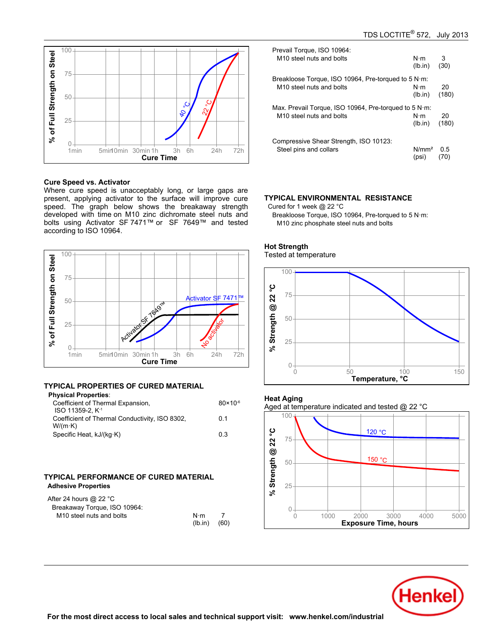

### **Cure Speed vs. Activator**

Where cure speed is unacceptably long, or large gaps are present, applying activator to the surface will improve cure present, applying activator to the sanace will improve care<br>speed. The graph below shows the breakaway strength developed with time on M10 zinc dichromate steel nuts and bolts using Activator SF 7471™ or SF 7649™ and tested bolts dailig Activator<br>according to ISO 10964.



## **TYPICAL PROPERTIES OF CURED MATERIAL**

| <b>Physical Properties:</b>                    |                     |
|------------------------------------------------|---------------------|
| Coefficient of Thermal Expansion,              | $80 \times 10^{-6}$ |
| ISO 11359-2. K <sup>-1</sup>                   |                     |
| Coefficient of Thermal Conductivity, ISO 8302, | 0.1                 |
| $W/(m \cdot K)$                                |                     |
| Specific Heat, kJ/(kg·K)                       | 03                  |
|                                                |                     |

### **TYPICAL PERFORMANCE OF CURED MATERIAL Adhesive Properties**

| After 24 hours @ 22 $^{\circ}$ C     |             |      |  |
|--------------------------------------|-------------|------|--|
| Breakaway Torque, ISO 10964:         |             |      |  |
| M <sub>10</sub> steel nuts and bolts | $N \cdot m$ |      |  |
|                                      | $(lh$ in)   | (60) |  |

| Prevail Torque, ISO 10964:                                    | $N \cdot m$       | 3     |
|---------------------------------------------------------------|-------------------|-------|
| M <sub>10</sub> steel nuts and bolts                          | (lb.in)           | (30)  |
| Breakloose Torque, ISO 10964, Pre-torqued to 5 $N \cdot m$ .  | $N \cdot m$       | 20    |
| M <sub>10</sub> steel nuts and bolts                          | (lb.in)           | (180) |
| Max. Prevail Torque, ISO 10964, Pre-torqued to 5 N $\cdot$ m: | $N \cdot m$       | 20    |
| M <sub>10</sub> steel nuts and bolts                          | (lb.in)           | (180) |
| Compressive Shear Strength, ISO 10123:                        | N/mm <sup>2</sup> | 0.5   |
| Steel pins and collars                                        | (psi)             | 70)   |

### **TYPICAL ENVIRONMENTAL RESISTANCE**

Cured for 1 week @ 22 °C

Breakloose Torque, ISO 10964, Pre-torqued to 5 N·m: M10 zinc phosphate steel nuts and bolts



### **Hot Strength** not otrongtn<br>Tested at temperature

# **Heat Aging**

Aged at temperature indicated and tested @ 22 °C



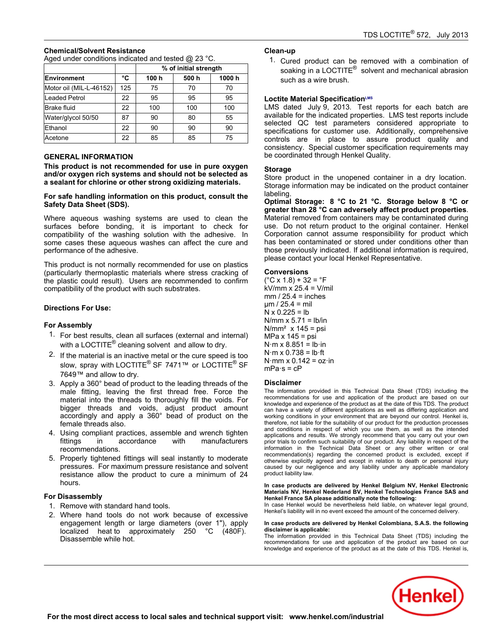## **Chemical/Solvent Resistance**

Aged under conditions indicated and tested @ 23 °C.

|                         |     | % of initial strength |      |       |
|-------------------------|-----|-----------------------|------|-------|
| <b>Environment</b>      | °C  | 100 h                 | 500h | 1000h |
| Motor oil (MIL-L-46152) | 125 | 75                    | 70   | 70    |
| <b>Leaded Petrol</b>    | 22  | 95                    | 95   | 95    |
| <b>Brake fluid</b>      | 22  | 100                   | 100  | 100   |
| Water/glycol 50/50      | 87  | 90                    | 80   | 55    |
| Ethanol                 | 22  | 90                    | 90   | 90    |
| Acetone                 | 22  | 85                    | 85   | 75    |

### **GENERAL INFORMATION**

**This product is not recommended for use in pure oxygen and/or oxygen rich systems and should not be selected as a sealant for chlorine or other strong oxidizing materials.**

### **For safe handling information on this product, consult the Safety Data Sheet (SDS).**

Where aqueous washing systems are used to clean the surfaces before bonding, it is important to check for compatibility of the washing solution with the adhesive. In some cases these aqueous washes can affect the cure and performance of the adhesive.

This product is not normally recommended for use on plastics This product is not normally recommended for use on plastics<br>(particularly thermoplastic materials where stress cracking of the plastic could result). Users are recommended to confirm are plastic codid resulty. Obers are recommentationally

### **Directions For Use:**

### **For Assembly**

- 1. For best results, clean all surfaces (external and internal) or sect results, siearl all sarraces (external and in<br>with a LOCTITE® cleaning solvent and allow to dry.
- 2. If the material is an inactive metal or the cure speed is too slow, spray with LOCTITE<sup>®</sup> SF 7471<sup>™</sup> or LOCTITE<sup>®</sup> SF 7649™ and allow to dry.
- 3. Apply a 360° bead of product to the leading threads of the male fitting, leaving the first thread free. Force the mate mang, reaving the first thread free: Force the<br>material into the threads to thoroughly fill the voids. For material life threads to morodying in the voids. For<br>bigger threads and voids, adjust product amount accordingly and apply a 360° bead of product on the female threads also.
- 4. Using compliant practices, assemble and wrench tighten fittings in accordance with manufacturers mango mi
- 5. Properly tightened fittings will seal instantly to moderate pressures. For maximum pressure resistance and solvent resistance allow the product to cure a minimum of 24 nosista<br>hours.

## **For Disassembly**

- <sup>1</sup>. Remove with standard hand tools.
- 2. Where hand tools do not work because of excessive engagement length or large diameters (over 1"), apply localized heat to approximately 250 °C (480F). Disassemble while hot.

## **Clean-up**

1. Cured product can be removed with a combination of soaking in a LOCTITE<sup>®</sup> solvent and mechanical abrasion<br>soaking in a LOCTITE<sup>®</sup> solvent and mechanical abrasion such as a wire brush.

### **Loctite Material SpecificationLMS**

LMS dated July-9, 2013. Test reports for each batch are available for the indicated properties. LMS test reports include selected QC test parameters considered appropriate to specifications for customer use. Additionally, comprehensive controls are in place to assure product quality and consistency. Special customer specification requirements may be coordinated through Henkel Quality.

### **Storage**

Store product in the unopened container in a dry location. Storage information may be indicated on the product container labeling.

**Optimal Storage: 8 °C to 21 °C. Storage below 8 °C or greater than 28 °C can adversely affect product properties**. Material removed from containers may be contaminated during use. Do not return product to the original container. Henkel ase. Be not retain product to the original container. Hence<br>Corporation cannot assume responsibility for product which has been contaminated or stored under conditions other than those previously indicated. If additional information is required, mose previously indicated. If doditional informative.<br>please contact your local Henkel Representative.

### **Conversions**

 $C$  x 1.8) + 32 =  $^{\circ}$ F kV/mm x 25.4 = V/mil mm / 25.4 = inches µm / 25.4 = mil N x 0.225 = lb N/mm x 5.71 = lb/in N/mm² x 145 = psi MPa x 145 = psi N·m x 8.851 = lb·in N·m x 0.738 = lb·ft N·mm x 0.142 = oz·in mPa·s = cP

### **Disclaimer**

The information provided in this Technical Data Sheet (TDS) including the recommendations for use and application of the product are based on our knowledge and experience of the product as at the date of this TDS. The product can have a variety of different applications as well as differing application and working conditions in your environment that are beyond our control. Henkel is, therefore, not liable for the suitability of our product for the production processes and conditions in respect of which you use them, as well as the intended and conditions in respect of which you ase them, as well as the intended<br>applications and results. We strongly recommend that you carry out your own prior trials to confirm such suitability of our product. Any liability in respect of the information in the Technical Data Sheet or any other written or oral recommendation(s) regarding the concerned product is excluded, except if otherwise explicitly agreed and except in relation to death or personal injury caused by our negligence and except in relation to death of personal lighty<br>caused by our negligence and any liability under any applicable mandatory product liability law.

### In case products are delivered by Henkel Belgium NV, Henkel Electronic<br>Materials NV. Henkel Nederland BV. Henkel Technologies France SAS and **Henkel France SA please additionally note the following:**

Inchitent rance of piease additionally note the following.<br>In case Henkel would be nevertheless held liable, on whatever legal ground, Henkel's liability will in no event exceed the amount of the concerned delivery.

#### **In case products are delivered by Henkel Colombiana, S.A.S. the following disclaimer is applicable:**

The information provided in this Technical Data Sheet (TDS) including the recommendations for use and application of the product are based on our knowledge and experience of the product as at the date of this TDS. Henkel is,